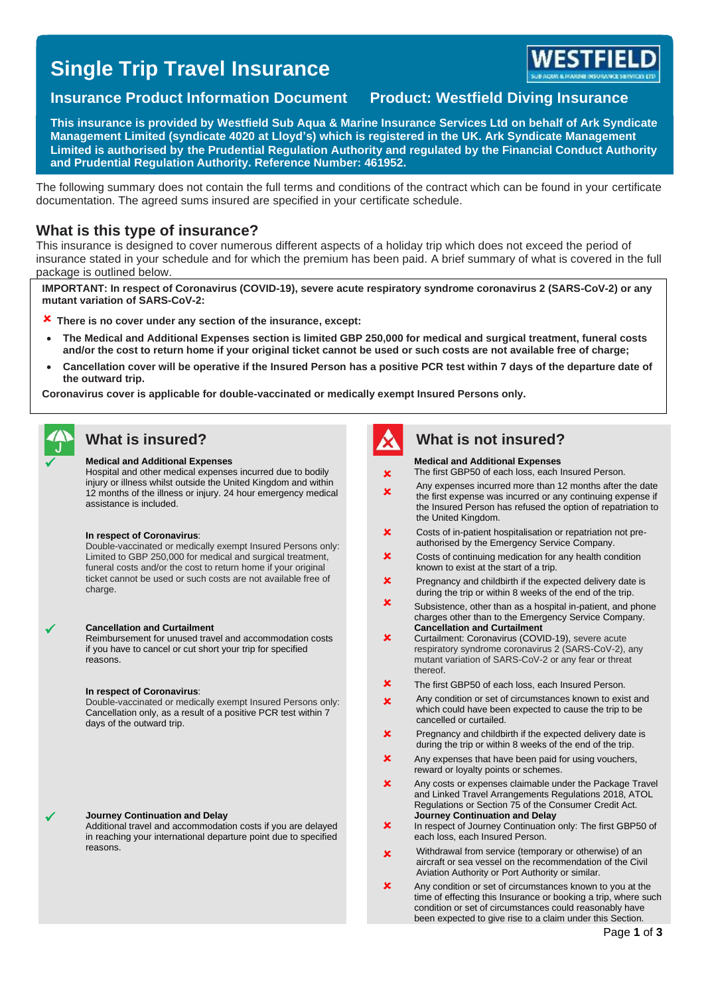# **Single Trip Travel Insurance**



## **Insurance Product Information Document Product: Westfield Diving Insurance**

**This insurance is provided by Westfield Sub Aqua & Marine Insurance Services Ltd on behalf of Ark Syndicate Management Limited (syndicate 4020 at Lloyd's) which is registered in the UK. Ark Syndicate Management Limited is authorised by the Prudential Regulation Authority and regulated by the Financial Conduct Authority and Prudential Regulation Authority. Reference Number: 461952.**

The following summary does not contain the full terms and conditions of the contract which can be found in your certificate documentation. The agreed sums insured are specified in your certificate schedule.

### **What is this type of insurance?**

This insurance is designed to cover numerous different aspects of a holiday trip which does not exceed the period of insurance stated in your schedule and for which the premium has been paid. A brief summary of what is covered in the full package is outlined below.

**IMPORTANT: In respect of Coronavirus (COVID-19), severe acute respiratory syndrome coronavirus 2 (SARS-CoV-2) or any mutant variation of SARS-CoV-2:** 

- **There is no cover under any section of the insurance, except:**
- **The Medical and Additional Expenses section is limited GBP 250,000 for medical and surgical treatment, funeral costs and/or the cost to return home if your original ticket cannot be used or such costs are not available free of charge;**
- **Cancellation cover will be operative if the Insured Person has a positive PCR test within 7 days of the departure date of the outward trip.**

**Coronavirus cover is applicable for double-vaccinated or medically exempt Insured Persons only.**

#### ✓ **Medical and Additional Expenses**

Hospital and other medical expenses incurred due to bodily injury or illness whilst outside the United Kingdom and within 12 months of the illness or injury. 24 hour emergency medical assistance is included.

#### **In respect of Coronavirus**:

Double-vaccinated or medically exempt Insured Persons only: Limited to GBP 250,000 for medical and surgical treatment, funeral costs and/or the cost to return home if your original ticket cannot be used or such costs are not available free of charge.

#### ✓ **Cancellation and Curtailment**

Reimbursement for unused travel and accommodation costs if you have to cancel or cut short your trip for specified reasons.

#### **In respect of Coronavirus**:

Double-vaccinated or medically exempt Insured Persons only: Cancellation only, as a result of a positive PCR test within 7 days of the outward trip.

#### ✓ **Journey Continuation and Delay**

Additional travel and accommodation costs if you are delayed in reaching your international departure point due to specified reasons.



### **What is insured? What is not insured?**

#### **Medical and Additional Expenses**

The first GBP50 of each loss, each Insured Person.

- ×  $\overline{\mathbf{x}}$ Any expenses incurred more than 12 months after the date the first expense was incurred or any continuing expense if the Insured Person has refused the option of repatriation to the United Kingdom.
- $\boldsymbol{\mathsf{x}}$ Costs of in-patient hospitalisation or repatriation not preauthorised by the Emergency Service Company.
- $\overline{\mathbf{x}}$ Costs of continuing medication for any health condition known to exist at the start of a trip.
- $\overline{\mathbf{x}}$ Pregnancy and childbirth if the expected delivery date is during the trip or within 8 weeks of the end of the trip.
- $\mathbf{x}$ Subsistence, other than as a hospital in-patient, and phone charges other than to the Emergency Service Company. **Cancellation and Curtailment**
- $\mathbf x$ Curtailment: Coronavirus (COVID-19), severe acute respiratory syndrome coronavirus 2 (SARS-CoV-2), any mutant variation of SARS-CoV-2 or any fear or threat thereof.
- × The first GBP50 of each loss, each Insured Person.
- $\mathbf{r}$ Any condition or set of circumstances known to exist and which could have been expected to cause the trip to be cancelled or curtailed.
- $\overline{\mathbf{x}}$ Pregnancy and childbirth if the expected delivery date is during the trip or within 8 weeks of the end of the trip.
- $\mathbf x$ Any expenses that have been paid for using vouchers, reward or loyalty points or schemes.
- $\overline{\mathbf{x}}$ Any costs or expenses claimable under the Package Travel and Linked Travel Arrangements Regulations 2018, ATOL Regulations or Section 75 of the Consumer Credit Act. **Journey Continuation and Delay**
- × In respect of Journey Continuation only: The first GBP50 of each loss, each Insured Person.
- × Withdrawal from service (temporary or otherwise) of an aircraft or sea vessel on the recommendation of the Civil Aviation Authority or Port Authority or similar.
- $\mathbf x$ Any condition or set of circumstances known to you at the time of effecting this Insurance or booking a trip, where such condition or set of circumstances could reasonably have been expected to give rise to a claim under this Section.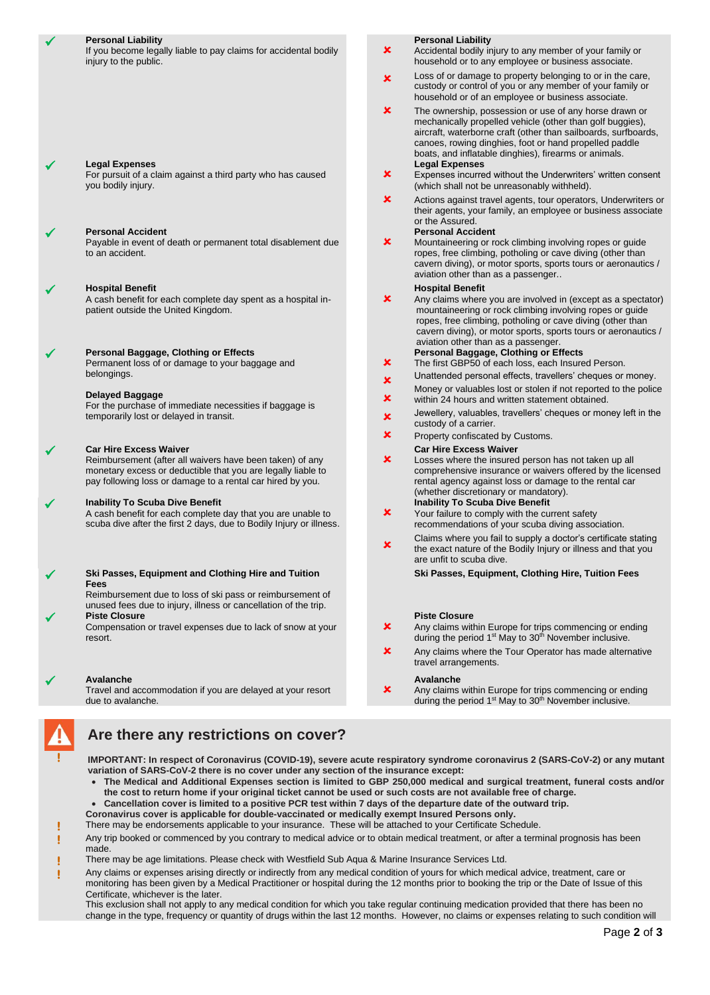|              | <b>Personal Liability</b><br>If you become legally liable to pay claims for accidental bodily<br>injury to the public.                                                                                                  | ×                              | <b>Personal Liability</b><br>Accidental bodily injury to any member of your family or<br>household or to any employee or business associate.                                                                                                                                                                                                                                                                                                    |
|--------------|-------------------------------------------------------------------------------------------------------------------------------------------------------------------------------------------------------------------------|--------------------------------|-------------------------------------------------------------------------------------------------------------------------------------------------------------------------------------------------------------------------------------------------------------------------------------------------------------------------------------------------------------------------------------------------------------------------------------------------|
|              |                                                                                                                                                                                                                         | $\pmb{\times}$                 | Loss of or damage to property belonging to or in the care,<br>custody or control of you or any member of your family or<br>household or of an employee or business associate.                                                                                                                                                                                                                                                                   |
|              | <b>Legal Expenses</b><br>For pursuit of a claim against a third party who has caused<br>you bodily injury.                                                                                                              | $\pmb{\times}$<br>×            | The ownership, possession or use of any horse drawn or<br>mechanically propelled vehicle (other than golf buggies),<br>aircraft, waterborne craft (other than sailboards, surfboards,<br>canoes, rowing dinghies, foot or hand propelled paddle<br>boats, and inflatable dinghies), firearms or animals.<br><b>Legal Expenses</b><br>Expenses incurred without the Underwriters' written consent<br>(which shall not be unreasonably withheld). |
|              |                                                                                                                                                                                                                         | $\pmb{\times}$                 | Actions against travel agents, tour operators, Underwriters or<br>their agents, your family, an employee or business associate<br>or the Assured.                                                                                                                                                                                                                                                                                               |
|              | <b>Personal Accident</b><br>Payable in event of death or permanent total disablement due<br>to an accident.                                                                                                             | ×                              | <b>Personal Accident</b><br>Mountaineering or rock climbing involving ropes or guide<br>ropes, free climbing, potholing or cave diving (other than<br>cavern diving), or motor sports, sports tours or aeronautics /<br>aviation other than as a passenger                                                                                                                                                                                      |
| ✔            | <b>Hospital Benefit</b><br>A cash benefit for each complete day spent as a hospital in-<br>patient outside the United Kingdom.                                                                                          | $\pmb{\times}$                 | <b>Hospital Benefit</b><br>Any claims where you are involved in (except as a spectator)<br>mountaineering or rock climbing involving ropes or guide<br>ropes, free climbing, potholing or cave diving (other than<br>cavern diving), or motor sports, sports tours or aeronautics /<br>aviation other than as a passenger.                                                                                                                      |
|              | Personal Baggage, Clothing or Effects<br>Permanent loss of or damage to your baggage and<br>belongings.                                                                                                                 | $\mathbf x$                    | Personal Baggage, Clothing or Effects<br>The first GBP50 of each loss, each Insured Person.<br>Unattended personal effects, travellers' cheques or money.                                                                                                                                                                                                                                                                                       |
|              | <b>Delayed Baggage</b><br>For the purchase of immediate necessities if baggage is                                                                                                                                       | $\boldsymbol{\mathsf{x}}$<br>× | Money or valuables lost or stolen if not reported to the police<br>within 24 hours and written statement obtained.                                                                                                                                                                                                                                                                                                                              |
|              | temporarily lost or delayed in transit.                                                                                                                                                                                 | $\pmb{\times}$                 | Jewellery, valuables, travellers' cheques or money left in the<br>custody of a carrier.                                                                                                                                                                                                                                                                                                                                                         |
|              |                                                                                                                                                                                                                         | $\mathbf x$                    | Property confiscated by Customs.                                                                                                                                                                                                                                                                                                                                                                                                                |
|              | <b>Car Hire Excess Waiver</b><br>Reimbursement (after all waivers have been taken) of any<br>monetary excess or deductible that you are legally liable to<br>pay following loss or damage to a rental car hired by you. | $\pmb{\times}$                 | <b>Car Hire Excess Waiver</b><br>Losses where the insured person has not taken up all<br>comprehensive insurance or waivers offered by the licensed<br>rental agency against loss or damage to the rental car<br>(whether discretionary or mandatory).                                                                                                                                                                                          |
| ✔            | <b>Inability To Scuba Dive Benefit</b><br>A cash benefit for each complete day that you are unable to<br>scuba dive after the first 2 days, due to Bodily Injury or illness.                                            | ×                              | <b>Inability To Scuba Dive Benefit</b><br>Your failure to comply with the current safety<br>recommendations of your scuba diving association.                                                                                                                                                                                                                                                                                                   |
|              |                                                                                                                                                                                                                         | $\pmb{\times}$                 | Claims where you fail to supply a doctor's certificate stating<br>the exact nature of the Bodily Injury or illness and that you<br>are unfit to scuba dive.                                                                                                                                                                                                                                                                                     |
| $\checkmark$ | Ski Passes, Equipment and Clothing Hire and Tuition                                                                                                                                                                     |                                | Ski Passes, Equipment, Clothing Hire, Tuition Fees                                                                                                                                                                                                                                                                                                                                                                                              |
|              | Fees<br>Reimbursement due to loss of ski pass or reimbursement of<br>unused fees due to injury, illness or cancellation of the trip.                                                                                    |                                |                                                                                                                                                                                                                                                                                                                                                                                                                                                 |
| ✔            | <b>Piste Closure</b><br>Compensation or travel expenses due to lack of snow at your<br>resort.                                                                                                                          | $\pmb{\times}$                 | <b>Piste Closure</b><br>Any claims within Europe for trips commencing or ending<br>during the period 1 <sup>st</sup> May to 30 <sup>th</sup> November inclusive.                                                                                                                                                                                                                                                                                |
|              |                                                                                                                                                                                                                         | ×                              | Any claims where the Tour Operator has made alternative<br>travel arrangements.                                                                                                                                                                                                                                                                                                                                                                 |
|              | Avalanche                                                                                                                                                                                                               |                                | Avalanche                                                                                                                                                                                                                                                                                                                                                                                                                                       |
|              | Travel and accommodation if you are delayed at your resort                                                                                                                                                              | ×                              | Any claims within Europe for trips commencing or ending                                                                                                                                                                                                                                                                                                                                                                                         |

due to avalanche.

## **Are there any restrictions on cover?**

**! IMPORTANT: In respect of Coronavirus (COVID-19), severe acute respiratory syndrome coronavirus 2 (SARS-CoV-2) or any mutant variation of SARS-CoV-2 there is no cover under any section of the insurance except:**

- **The Medical and Additional Expenses section is limited to GBP 250,000 medical and surgical treatment, funeral costs and/or the cost to return home if your original ticket cannot be used or such costs are not available free of charge.**
- **Cancellation cover is limited to a positive PCR test within 7 days of the departure date of the outward trip.**

**Coronavirus cover is applicable for double-vaccinated or medically exempt Insured Persons only. !** There may be endorsements applicable to your insurance. These will be attached to your Certificate Schedule.

**!** Any trip booked or commenced by you contrary to medical advice or to obtain medical treatment, or after a terminal prognosis has been made.

- **!** There may be age limitations. Please check with Westfield Sub Aqua & Marine Insurance Services Ltd.
- **!** Any claims or expenses arising directly or indirectly from any medical condition of yours for which medical advice, treatment, care or monitoring has been given by a Medical Practitioner or hospital during the 12 months prior to booking the trip or the Date of Issue of this Certificate, whichever is the later.

This exclusion shall not apply to any medical condition for which you take regular continuing medication provided that there has been no change in the type, frequency or quantity of drugs within the last 12 months. However, no claims or expenses relating to such condition will

during the period 1<sup>st</sup> May to 30<sup>th</sup> November inclusive.